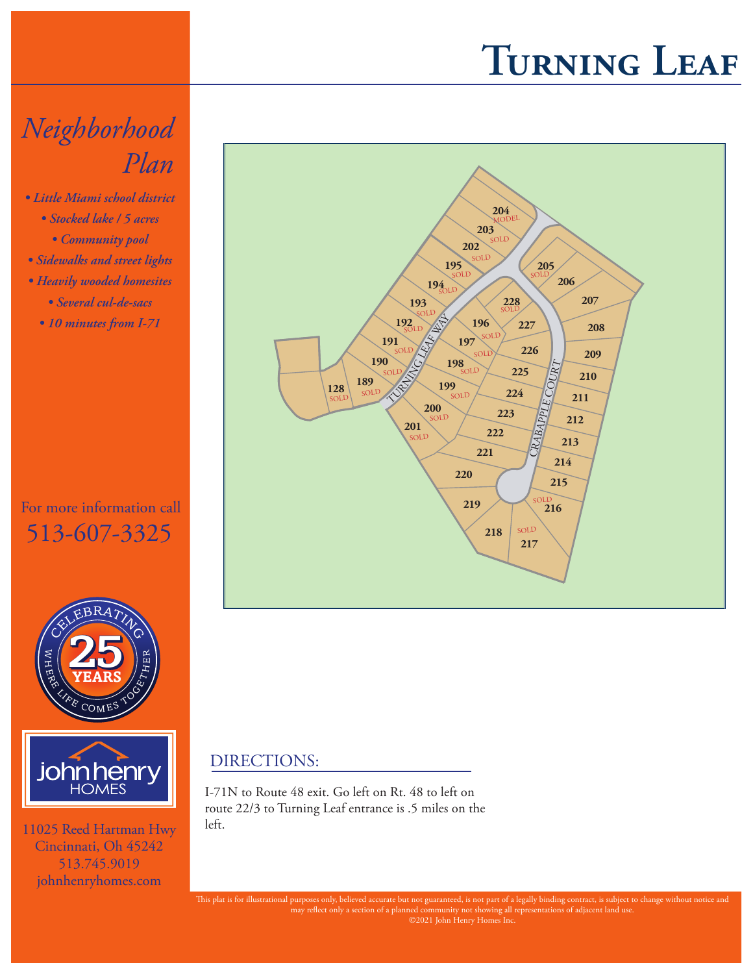## **Turning Leaf**

## *Neighborhood Plan*

- *Little Miami school district • Stocked lake / 5 acres*
	- *Community pool*
- *Sidewalks and street lights*
- *Heavily wooded homesites • Several cul-de-sacs*
	- *10 minutes from I-71*

## For more information call 513-607-3325





11025 Reed Hartman Hwy Cincinnati, Oh 45242 513.745.9019 johnhenryhomes.com



## DIRECTIONS:

I-71N to Route 48 exit. Go left on Rt. 48 to left on route 22/3 to Turning Leaf entrance is .5 miles on the left.

This plat is for illustrational purposes only, believed accurate but not guaranteed, is not part of a legally binding contract, is subject to change without notice and may reflect only a section of a planned community not showing all representations of adjacent land use. ©2021 John Henry Homes Inc.